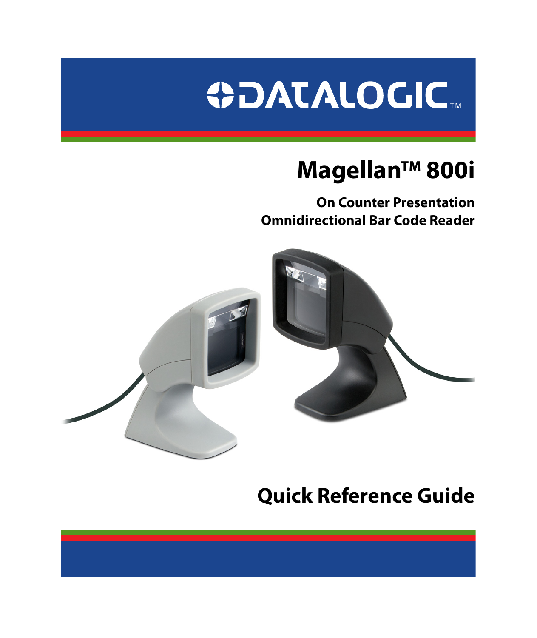

# **MagellanTM 800i**

**On Counter Presentation Omnidirectional Bar Code Reader**



# **Quick Reference Guide**

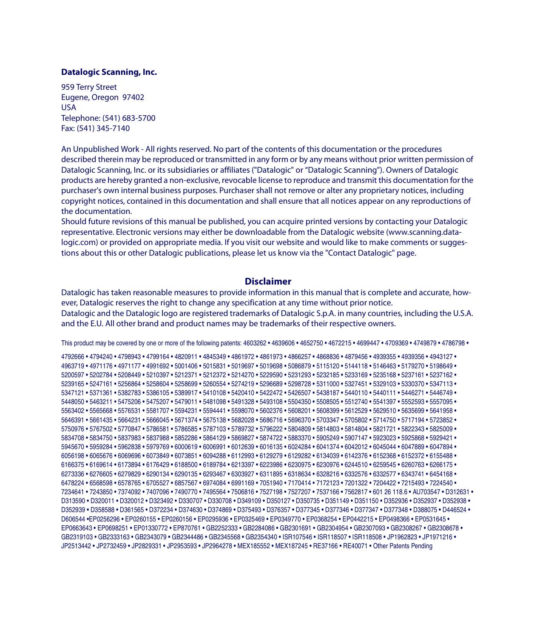#### **Datalogic Scanning, Inc.**

959 Terry Street Eugene, Oregon 97402 USA Telephone: (541) 683-5700 Fax: (541) 345-7140

An Unpublished Work - All rights reserved. No part of the contents of this documentation or the procedures described therein may be reproduced or transmitted in any form or by any means without prior written permission of Datalogic Scanning, Inc. or its subsidiaries or affiliates ("Datalogic" or "Datalogic Scanning"). Owners of Datalogic products are hereby granted a non-exclusive, revocable license to reproduce and transmit this documentation for the purchaser's own internal business purposes. Purchaser shall not remove or alter any proprietary notices, including copyright notices, contained in this documentation and shall ensure that all notices appear on any reproductions of the documentation.

Should future revisions of this manual be published, you can acquire printed versions by contacting your Datalogic representative. Electronic versions may either be downloadable from the Datalogic website (www.scanning.datalogic.com) or provided on appropriate media. If you visit our website and would like to make comments or suggestions about this or other Datalogic publications, please let us know via the "Contact Datalogic" page.

### **Disclaimer**

Datalogic has taken reasonable measures to provide information in this manual that is complete and accurate, however. Datalogic reserves the right to change any specification at any time without prior notice. Datalogic and the Datalogic logo are registered trademarks of Datalogic S.p.A. in many countries, including the U.S.A. and the E.U. All other brand and product names may be trademarks of their respective owners.

This product may be covered by one or more of the following patents: 4603262 • 4639606 • 4652750 • 4672215 • 4699447 • 4709369 • 4749879 • 4786798 •

4792666 • 4794240 • 4798943 • 4799164 • 4820911 • 4845349 • 4861972 • 4861973 • 4866257 • 4868836 • 4879456 • 4939355 • 4939356 • 4943127 • 4963719 • 4971176 • 4971177 • 4991692 • 5001406 • 5015831 • 5019697 • 5019698 • 5086879 • 5115120 • 5144118 • 5146463 • 5179270 • 5198649 • 5200597 • 5202784 • 5208449 • 5210397 • 5212371 • 5212372 • 5214270 • 5229590 • 5231293 • 5232185 • 5233169 • 5235168 • 5237161 • 5237162 • 5239165 • 5247161 • 5256864 • 5258604 • 5258699 • 5260554 • 5274219 • 5296689 • 5298728 • 5311000 • 5327451 • 5329103 • 5330370 • 5347113 • 5347121 • 5371361 • 5382783 • 5386105 • 5389917 • 5410108 • 5420410 • 5422472 • 5426507 • 5438187 • 5440110 • 5440111 • 5446271 • 5446749 • 5448050 • 5463211 • 5475206 • 5475207 • 5479011 • 5481098 • 5491328 • 5493108 • 5504350 • 5508505 • 5512740 • 5541397 • 5552593 • 5557095 • 5563402 • 5565668 • 5576531 • 5581707 • 5594231 • 5594441 • 5598070 • 5602376 • 5608201 • 5608399 • 5612529 • 5629510 • 5635699 • 5641958 • 5646391 • 5661435 • 5664231 • 5666045 • 5671374 • 5675138 • 5682028 • 5686716 • 5696370 • 5703347 • 5705802 • 5714750 • 5717194 • 5723852 • 5750976 • 5767502 • 5770847 • 5786581 • 5786585 • 5787103 • 5789732 • 5796222 • 5804809 • 5814803 • 5814804 • 5821721 • 5822343 • 5825009 • 5834708 • 5834750 • 5837983 • 5837988 • 5852286 • 5864129 • 5869827 • 5874722 • 5883370 • 5905249 • 5907147 • 5923023 • 5925868 • 5929421 • 5945670 • 5959284 • 5962838 • 5979769 • 6000619 • 6006991 • 6012639 • 6016135 • 6024284 • 6041374 • 6042012 • 6045044 • 6047889 • 6047894 • 6056198 • 6065676 • 6069696 • 6073849 • 6073851 • 6094288 • 6112993 • 6129279 • 6129282 • 6134039 • 6142376 • 6152368 • 6152372 • 6155488 • 6166375 • 6169614 • 6173894 • 6176429 • 6188500 • 6189784 • 6213397 • 6223986 • 6230975 • 6230976 • 6244510 • 6259545 • 6260763 • 6266175 • 6273336 • 6276605 • 6279829 • 6290134 • 6290135 • 6293467 • 6303927 • 6311895 • 6318634 • 6328216 • 6332576 • 6332577 • 6343741 • 6454168 • 6478224 • 6568598 • 6578765 • 6705527 • 6857567 • 6974084 • 6991169 • 7051940 • 7170414 • 7172123 • 7201322 • 7204422 • 7215493 • 7224540 • 7234641 • 7243850 • 7374092 • 7407096 • 7490770 • 7495564 • 7506816 • 7527198 • 7527207 • 7537166 • 7562817 • 601 26 118.6 • AU703547 • D312631 • D313590 • D320011 • D320012 • D323492 • D330707 • D330708 • D349109 • D350127 • D350735 • D351149 • D351150 • D352936 • D352937 • D352938 • D352939 • D358588 • D361565 • D372234 • D374630 • D374869 • D375493 • D376357 • D377345 • D377346 • D377347 • D377348 • D388075 • D446524 • D606544 •EP0256296 • EP0260155 • EP0260156 • EP0295936 • EP0325469 • EP0349770 • EP0368254 • EP0442215 • EP0498366 • EP0531645 • EP0663643 • EP0698251 • EP01330772 • EP870761 • GB2252333 • GB2284086 • GB2301691 • GB2304954 • GB2307093 • GB2308267 • GB2308678 • GB2319103 • GB2333163 • GB2343079 • GB2344486 • GB2345568 • GB2354340 • ISR107546 • ISR118507 • ISR118508 • JP1962823 • JP1971216 • JP2513442 • JP2732459 • JP2829331 • JP2953593 • JP2964278 • MEX185552 • MEX187245 • RE37166 • RE40071 • Other Patents Pending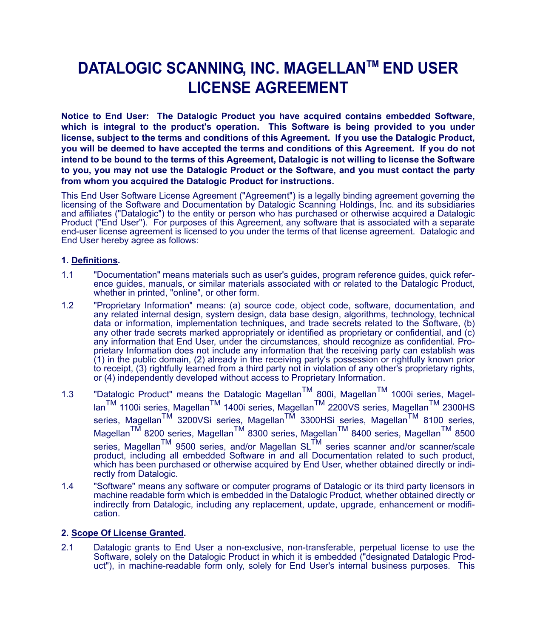### **DATALOGIC SCANNING, INC. MAGELLANTM END USER LICENSE AGREEMENT**

**Notice to End User: The Datalogic Product you have acquired contains embedded Software, which is integral to the product's operation. This Software is being provided to you under license, subject to the terms and conditions of this Agreement. If you use the Datalogic Product, you will be deemed to have accepted the terms and conditions of this Agreement. If you do not intend to be bound to the terms of this Agreement, Datalogic is not willing to license the Software to you, you may not use the Datalogic Product or the Software, and you must contact the party from whom you acquired the Datalogic Product for instructions.**

This End User Software License Agreement ("Agreement") is a legally binding agreement governing the licensing of the Software and Documentation by Datalogic Scanning Holdings, Inc. and its subsidiaries and affiliates ("Datalogic") to the entity or person who has purchased or otherwise acquired a Datalogic Product ("End User"). For purposes of this Agreement, any software that is associated with a separate end-user license agreement is licensed to you under the terms of that license agreement. Datalogic and End User hereby agree as follows:

### **1. Definitions.**

- 1.1 "Documentation" means materials such as user's guides, program reference guides, quick reference guides, manuals, or similar materials associated with or related to the Datalogic Product, whether in printed, "online", or other form.
- 1.2 "Proprietary Information" means: (a) source code, object code, software, documentation, and any related internal design, system design, data base design, algorithms, technology, technical data or information, implementation techniques, and trade secrets related to the Software, (b) any other trade secrets marked appropriately or identified as proprietary or confidential, and (c) any information that End User, under the circumstances, should recognize as confidential. Proprietary Information does not include any information that the receiving party can establish was (1) in the public domain, (2) already in the receiving party's possession or rightfully known prior to receipt, (3) rightfully learned from a third party not in violation of any other's proprietary rights, or (4) independently developed without access to Proprietary Information.
- 1.3 "Datalogic Product" means the Datalogic Magellan<sup>TM</sup> 800i, Magellan<sup>TM</sup> 1000i series, MagellanTM 1100i series, MagellanTM 1400i series, MagellanTM 2200VS series, MagellanTM 2300HS series, Magellan<sup>TM</sup> 3200VSi series, Magellan<sup>TM</sup> 3300HSi series, Magellan<sup>TM</sup> 8100 series, Magellan<sup>TM</sup> 8200 series, Magellan<sup>TM</sup> 8300 series, Magellan<sup>TM</sup> 8400 series, Magellan<sup>TM</sup> 8500 series, Magellan<sup>TM</sup> 9500 series, and/or Magellan SL<sup>TM</sup> series scanner and/or scanner/scale<br>product, including all embedded Software in and all Documentation related to such product, which has been purchased or otherwise acquired by End User, whether obtained directly or indirectly from Datalogic.
- 1.4 "Software" means any software or computer programs of Datalogic or its third party licensors in machine readable form which is embedded in the Datalogic Product, whether obtained directly or indirectly from Datalogic, including any replacement, update, upgrade, enhancement or modification.

### **2. Scope Of License Granted.**

2.1 Datalogic grants to End User a non-exclusive, non-transferable, perpetual license to use the Software, solely on the Datalogic Product in which it is embedded ("designated Datalogic Product"), in machine-readable form only, solely for End User's internal business purposes. This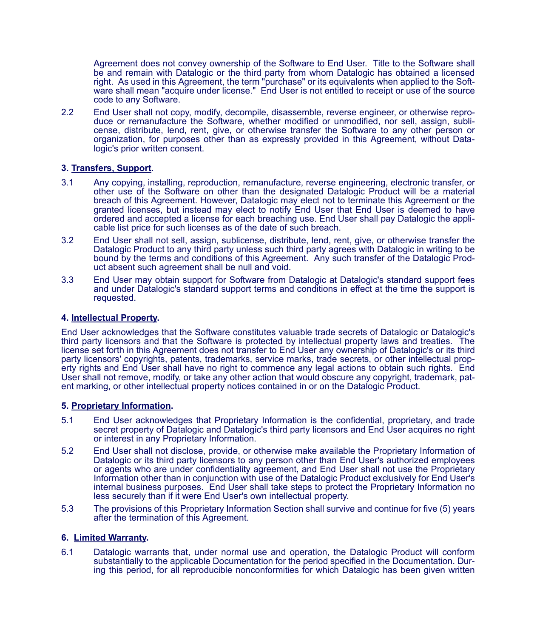Agreement does not convey ownership of the Software to End User. Title to the Software shall be and remain with Datalogic or the third party from whom Datalogic has obtained a licensed right. As used in this Agreement, the term "purchase" or its equivalents when applied to the Software shall mean "acquire under license." End User is not entitled to receipt or use of the source code to any Software.

2.2 End User shall not copy, modify, decompile, disassemble, reverse engineer, or otherwise reproduce or remanufacture the Software, whether modified or unmodified, nor sell, assign, sublicense, distribute, lend, rent, give, or otherwise transfer the Software to any other person or organization, for purposes other than as expressly provided in this Agreement, without Datalogic's prior written consent.

### **3. Transfers, Support.**

- 3.1 Any copying, installing, reproduction, remanufacture, reverse engineering, electronic transfer, or other use of the Software on other than the designated Datalogic Product will be a material breach of this Agreement. However, Datalogic may elect not to terminate this Agreement or the granted licenses, but instead may elect to notify End User that End User is deemed to have ordered and accepted a license for each breaching use. End User shall pay Datalogic the applicable list price for such licenses as of the date of such breach.
- 3.2 End User shall not sell, assign, sublicense, distribute, lend, rent, give, or otherwise transfer the Datalogic Product to any third party unless such third party agrees with Datalogic in writing to be bound by the terms and conditions of this Agreement. Any such transfer of the Datalogic Product absent such agreement shall be null and void.
- 3.3 End User may obtain support for Software from Datalogic at Datalogic's standard support fees and under Datalogic's standard support terms and conditions in effect at the time the support is requested.

#### **4. Intellectual Property.**

End User acknowledges that the Software constitutes valuable trade secrets of Datalogic or Datalogic's third party licensors and that the Software is protected by intellectual property laws and treaties. The license set forth in this Agreement does not transfer to End User any ownership of Datalogic's or its third party licensors' copyrights, patents, trademarks, service marks, trade secrets, or other intellectual property rights and End User shall have no right to commence any legal actions to obtain such rights. End User shall not remove, modify, or take any other action that would obscure any copyright, trademark, patent marking, or other intellectual property notices contained in or on the Datalogic Product.

#### **5. Proprietary Information.**

- 5.1 End User acknowledges that Proprietary Information is the confidential, proprietary, and trade secret property of Datalogic and Datalogic's third party licensors and End User acquires no right or interest in any Proprietary Information.
- 5.2 End User shall not disclose, provide, or otherwise make available the Proprietary Information of Datalogic or its third party licensors to any person other than End User's authorized employees or agents who are under confidentiality agreement, and End User shall not use the Proprietary Information other than in conjunction with use of the Datalogic Product exclusively for End User's internal business purposes. End User shall take steps to protect the Proprietary Information no less securely than if it were End User's own intellectual property.
- 5.3 The provisions of this Proprietary Information Section shall survive and continue for five (5) years after the termination of this Agreement.

#### **6. Limited Warranty.**

6.1 Datalogic warrants that, under normal use and operation, the Datalogic Product will conform substantially to the applicable Documentation for the period specified in the Documentation. During this period, for all reproducible nonconformities for which Datalogic has been given written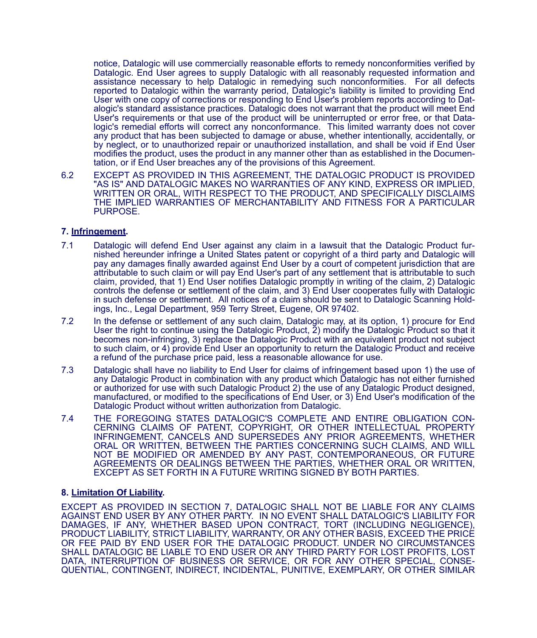notice, Datalogic will use commercially reasonable efforts to remedy nonconformities verified by Datalogic. End User agrees to supply Datalogic with all reasonably requested information and assistance necessary to help Datalogic in remedying such nonconformities. For all defects reported to Datalogic within the warranty period, Datalogic's liability is limited to providing End User with one copy of corrections or responding to End User's problem reports according to Datalogic's standard assistance practices. Datalogic does not warrant that the product will meet End User's requirements or that use of the product will be uninterrupted or error free, or that Datalogic's remedial efforts will correct any nonconformance. This limited warranty does not cover any product that has been subjected to damage or abuse, whether intentionally, accidentally, or by neglect, or to unauthorized repair or unauthorized installation, and shall be void if End User modifies the product, uses the product in any manner other than as established in the Documentation, or if End User breaches any of the provisions of this Agreement.

6.2 EXCEPT AS PROVIDED IN THIS AGREEMENT, THE DATALOGIC PRODUCT IS PROVIDED "AS IS" AND DATALOGIC MAKES NO WARRANTIES OF ANY KIND, EXPRESS OR IMPLIED, WRITTEN OR ORAL, WITH RESPECT TO THE PRODUCT, AND SPECIFICALLY DISCLAIMS THE IMPLIED WARRANTIES OF MERCHANTABILITY AND FITNESS FOR A PARTICULAR PURPOSE.

#### **7. Infringement.**

- 7.1 Datalogic will defend End User against any claim in a lawsuit that the Datalogic Product furnished hereunder infringe a United States patent or copyright of a third party and Datalogic will pay any damages finally awarded against End User by a court of competent jurisdiction that are attributable to such claim or will pay End User's part of any settlement that is attributable to such claim, provided, that 1) End User notifies Datalogic promptly in writing of the claim, 2) Datalogic controls the defense or settlement of the claim, and 3) End User cooperates fully with Datalogic in such defense or settlement. All notices of a claim should be sent to Datalogic Scanning Holdings, Inc., Legal Department, 959 Terry Street, Eugene, OR 97402.
- 7.2 In the defense or settlement of any such claim, Datalogic may, at its option, 1) procure for End User the right to continue using the Datalogic Product, 2) modify the Datalogic Product so that it becomes non-infringing, 3) replace the Datalogic Product with an equivalent product not subject to such claim, or 4) provide End User an opportunity to return the Datalogic Product and receive a refund of the purchase price paid, less a reasonable allowance for use.
- 7.3 Datalogic shall have no liability to End User for claims of infringement based upon 1) the use of any Datalogic Product in combination with any product which Datalogic has not either furnished or authorized for use with such Datalogic Product 2) the use of any Datalogic Product designed, manufactured, or modified to the specifications of End User, or 3) End User's modification of the Datalogic Product without written authorization from Datalogic.
- 7.4 THE FOREGOING STATES DATALOGIC'S COMPLETE AND ENTIRE OBLIGATION CON-CERNING CLAIMS OF PATENT, COPYRIGHT, OR OTHER INTELLECTUAL PROPERTY INFRINGEMENT, CANCELS AND SUPERSEDES ANY PRIOR AGREEMENTS, WHETHER ORAL OR WRITTEN, BETWEEN THE PARTIES CONCERNING SUCH CLAIMS, AND WILL NOT BE MODIFIED OR AMENDED BY ANY PAST, CONTEMPORANEOUS, OR FUTURE AGREEMENTS OR DEALINGS BETWEEN THE PARTIES, WHETHER ORAL OR WRITTEN, EXCEPT AS SET FORTH IN A FUTURE WRITING SIGNED BY BOTH PARTIES.

#### **8. Limitation Of Liability.**

EXCEPT AS PROVIDED IN SECTION 7, DATALOGIC SHALL NOT BE LIABLE FOR ANY CLAIMS AGAINST END USER BY ANY OTHER PARTY. IN NO EVENT SHALL DATALOGIC'S LIABILITY FOR DAMAGES, IF ANY, WHETHER BASED UPON CONTRACT, TORT (INCLUDING NEGLIGENCE), PRODUCT LIABILITY, STRICT LIABILITY, WARRANTY, OR ANY OTHER BASIS, EXCEED THE PRICE OR FEE PAID BY END USER FOR THE DATALOGIC PRODUCT. UNDER NO CIRCUMSTANCES SHALL DATALOGIC BE LIABLE TO END USER OR ANY THIRD PARTY FOR LOST PROFITS, LOST DATA, INTERRUPTION OF BUSINESS OR SERVICE, OR FOR ANY OTHER SPECIAL, CONSE-QUENTIAL, CONTINGENT, INDIRECT, INCIDENTAL, PUNITIVE, EXEMPLARY, OR OTHER SIMILAR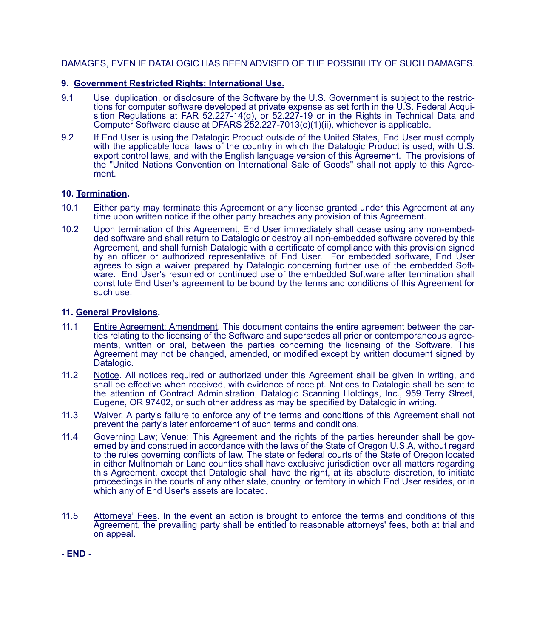### DAMAGES, EVEN IF DATALOGIC HAS BEEN ADVISED OF THE POSSIBILITY OF SUCH DAMAGES.

### **9. Government Restricted Rights; International Use.**

- 9.1 Use, duplication, or disclosure of the Software by the U.S. Government is subject to the restrictions for computer software developed at private expense as set forth in the U.S. Federal Acquisition Regulations at FAR 52.227-14(g), or 52.227-19 or in the Rights in Technical Data and Computer Software clause at DFARS 252.227-7013(c)(1)(ii), whichever is applicable.
- 9.2 If End User is using the Datalogic Product outside of the United States, End User must comply with the applicable local laws of the country in which the Datalogic Product is used, with U.S. export control laws, and with the English language version of this Agreement. The provisions of the "United Nations Convention on International Sale of Goods" shall not apply to this Agreement.

### **10. Termination.**

- 10.1 Either party may terminate this Agreement or any license granted under this Agreement at any time upon written notice if the other party breaches any provision of this Agreement.
- 10.2 Upon termination of this Agreement, End User immediately shall cease using any non-embedded software and shall return to Datalogic or destroy all non-embedded software covered by this Agreement, and shall furnish Datalogic with a certificate of compliance with this provision signed by an officer or authorized representative of End User. For embedded software, End User agrees to sign a waiver prepared by Datalogic concerning further use of the embedded Software. End User's resumed or continued use of the embedded Software after termination shall constitute End User's agreement to be bound by the terms and conditions of this Agreement for such use.

### **11. General Provisions.**

- 11.1 Entire Agreement; Amendment. This document contains the entire agreement between the parties relating to the licensing of the Software and supersedes all prior or contemporaneous agreements, written or oral, between the parties concerning the licensing of the Software. This Agreement may not be changed, amended, or modified except by written document signed by Datalogic.
- 11.2 Notice. All notices required or authorized under this Agreement shall be given in writing, and shall be effective when received, with evidence of receipt. Notices to Datalogic shall be sent to the attention of Contract Administration, Datalogic Scanning Holdings, Inc., 959 Terry Street, Eugene, OR 97402, or such other address as may be specified by Datalogic in writing.
- 11.3 Waiver. A party's failure to enforce any of the terms and conditions of this Agreement shall not prevent the party's later enforcement of such terms and conditions.
- 11.4 Governing Law; Venue: This Agreement and the rights of the parties hereunder shall be governed by and construed in accordance with the laws of the State of Oregon U.S.A, without regard to the rules governing conflicts of law. The state or federal courts of the State of Oregon located in either Multnomah or Lane counties shall have exclusive jurisdiction over all matters regarding this Agreement, except that Datalogic shall have the right, at its absolute discretion, to initiate proceedings in the courts of any other state, country, or territory in which End User resides, or in which any of End User's assets are located.
- 11.5 Attorneys' Fees. In the event an action is brought to enforce the terms and conditions of this Agreement, the prevailing party shall be entitled to reasonable attorneys' fees, both at trial and on appeal.

**- END -**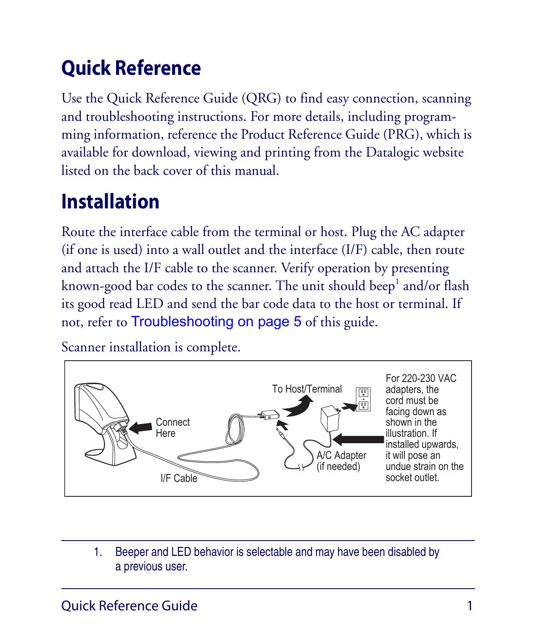# **Quick Reference**

Use the Quick Reference Guide (QRG) to find easy connection, scanning and troubleshooting instructions. For more details, including programming information, reference the Product Reference Guide (PRG), which is available for download, viewing and printing from the Datalogic website listed on the back cover of this manual.

# **Installation**

Route the interface cable from the terminal or host. Plug the AC adapter (if one is used) into a wall outlet and the interface (I/F) cable, then route and attach the I/F cable to the scanner. Verify operation by presenting known-good bar codes to the scanner. The unit should beep<sup>1</sup> and/or flash its good read LED and send the bar code data to the host or terminal. If not, refer to [Troubleshooting on page 5](#page-10-0) of this guide.

Scanner installation is complete.



1. Beeper and LED behavior is selectable and may have been disabled by a previous user.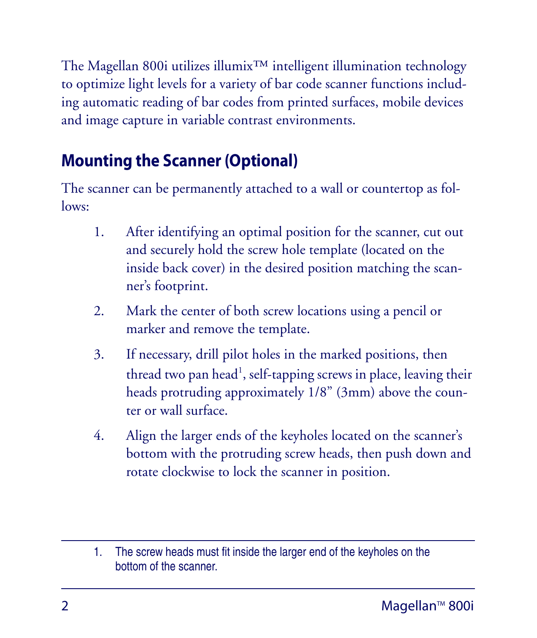The Magellan 800i utilizes illumix™ intelligent illumination technology to optimize light levels for a variety of bar code scanner functions including automatic reading of bar codes from printed surfaces, mobile devices and image capture in variable contrast environments.

### **Mounting the Scanner (Optional)**

The scanner can be permanently attached to a wall or countertop as followe:

- 1. After identifying an optimal position for the scanner, cut out and securely hold the screw hole template (located on the inside back cover) in the desired position matching the scanner's footprint.
- 2. Mark the center of both screw locations using a pencil or marker and remove the template.
- 3. If necessary, drill pilot holes in the marked positions, then thread two pan head<sup>1</sup>, self-tapping screws in place, leaving their heads protruding approximately 1/8" (3mm) above the counter or wall surface.
- 4. Align the larger ends of the keyholes located on the scanner's bottom with the protruding screw heads, then push down and rotate clockwise to lock the scanner in position.

<sup>1.</sup> The screw heads must fit inside the larger end of the keyholes on the bottom of the scanner.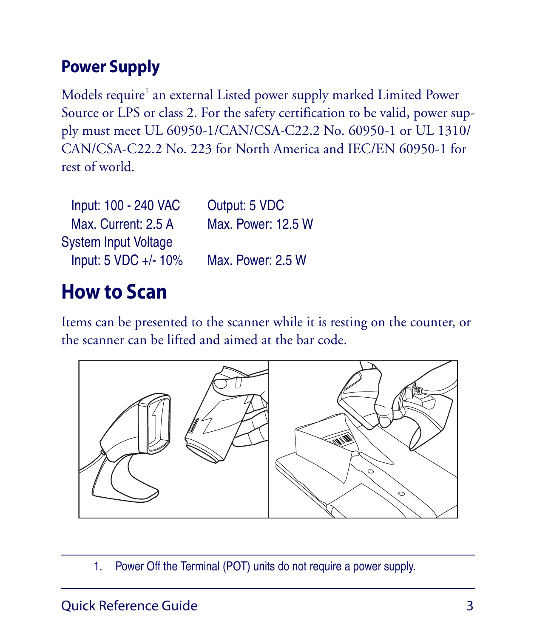### **Power Supply**

Models require<sup>1</sup> an external Listed power supply marked Limited Power Source or LPS or class 2. For the safety certification to be valid, power supply must meet UL 60950-1/CAN/CSA-C22.2 No. 60950-1 or UL 1310/ CAN/CSA-C22.2 No. 223 for North America and IEC/EN 60950-1 for rest of world.

| Input: 100 - 240 VAC        | Output: 5 VDC      |
|-----------------------------|--------------------|
| Max. Current: 2.5 A         | Max. Power: 12.5 W |
| <b>System Input Voltage</b> |                    |
| Input: 5 VDC +/- 10%        | Max. Power: 2.5 W  |

# **How to Scan**

Items can be presented to the scanner while it is resting on the counter, or the scanner can be lifted and aimed at the bar code.



1. Power Off the Terminal (POT) units do not require a power supply.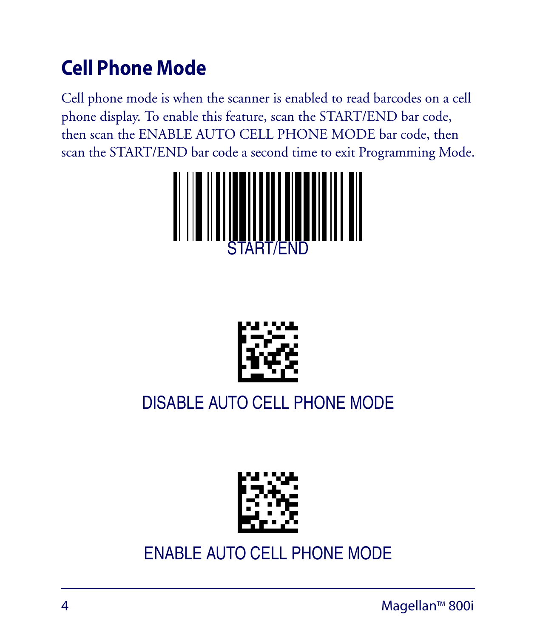# **Cell Phone Mode**

Cell phone mode is when the scanner is enabled to read barcodes on a cell phone display. To enable this feature, scan the START/END bar code, then scan the ENABLE AUTO CELL PHONE MODE bar code, then scan the START/END bar code a second time to exit Programming Mode.





## DISABLE AUTO CELL PHONE MODE



### ENABLE AUTO CELL PHONE MODE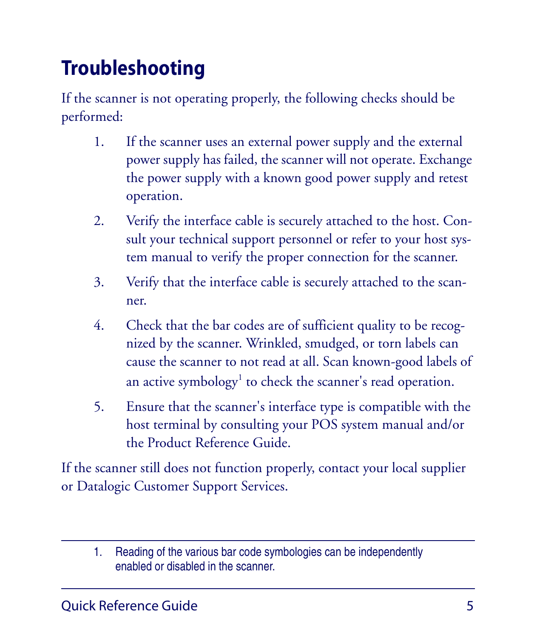# <span id="page-10-0"></span>**Troubleshooting**

If the scanner is not operating properly, the following checks should be performed:

- 1. If the scanner uses an external power supply and the external power supply has failed, the scanner will not operate. Exchange the power supply with a known good power supply and retest operation.
- 2. Verify the interface cable is securely attached to the host. Consult your technical support personnel or refer to your host system manual to verify the proper connection for the scanner.
- 3. Verify that the interface cable is securely attached to the scanner.
- 4. Check that the bar codes are of sufficient quality to be recognized by the scanner. Wrinkled, smudged, or torn labels can cause the scanner to not read at all. Scan known-good labels of an active symbology<sup>1</sup> to check the scanner's read operation.
- 5. Ensure that the scanner's interface type is compatible with the host terminal by consulting your POS system manual and/or the Product Reference Guide.

If the scanner still does not function properly, contact your local supplier or Datalogic Customer Support Services.

<sup>1.</sup> Reading of the various bar code symbologies can be independently enabled or disabled in the scanner.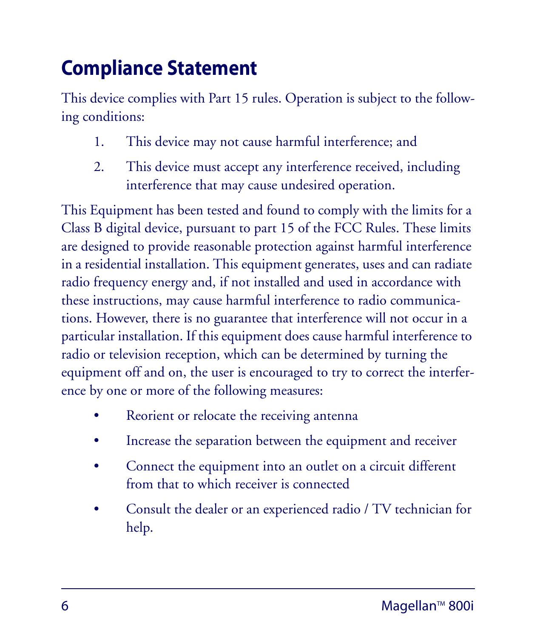# **Compliance Statement**

This device complies with Part 15 rules. Operation is subject to the following conditions:

- 1. This device may not cause harmful interference; and
- 2. This device must accept any interference received, including interference that may cause undesired operation.

This Equipment has been tested and found to comply with the limits for a Class B digital device, pursuant to part 15 of the FCC Rules. These limits are designed to provide reasonable protection against harmful interference in a residential installation. This equipment generates, uses and can radiate radio frequency energy and, if not installed and used in accordance with these instructions, may cause harmful interference to radio communications. However, there is no guarantee that interference will not occur in a particular installation. If this equipment does cause harmful interference to radio or television reception, which can be determined by turning the equipment off and on, the user is encouraged to try to correct the interference by one or more of the following measures:

- Reorient or relocate the receiving antenna
- Increase the separation between the equipment and receiver
- Connect the equipment into an outlet on a circuit different from that to which receiver is connected
- Consult the dealer or an experienced radio / TV technician for help.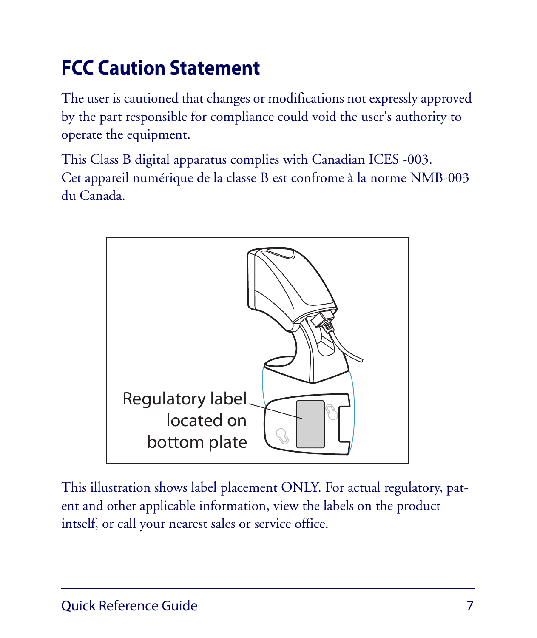# **FCC Caution Statement**

The user is cautioned that changes or modifications not expressly approved by the part responsible for compliance could void the user's authority to operate the equipment.

This Class B digital apparatus complies with Canadian ICES -003. Cet appareil numérique de la classe B est confrome à la norme NMB-003 du Canada.



This illustration shows label placement ONLY. For actual regulatory, patent and other applicable information, view the labels on the product intself, or call your nearest sales or service office.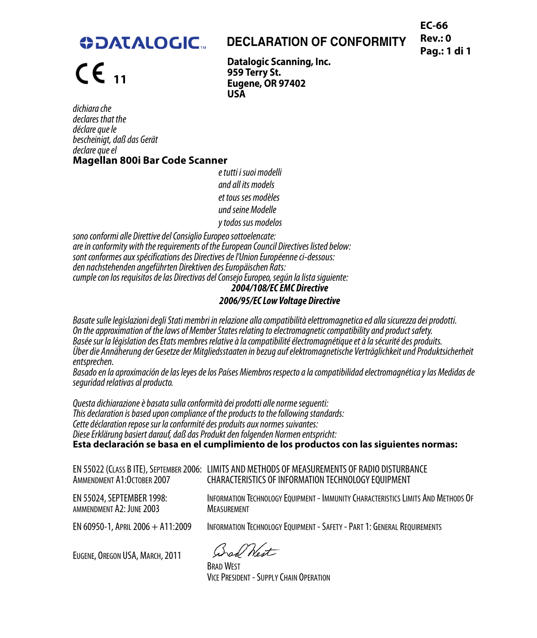**EC-66 Rev.: 0 Pag.: 1 di 1**

### **ODATALOGIC.**

### **DECLARATION OF CONFORMITY**

**11**

**Datalogic Scanning, Inc. 959 Terry St. Eugene, OR 97402 USA**

dichiara che declares that the déclare que le bescheinigt, daß das Gerät declare que el **Magellan 800i Bar Code Scanner**

e tutti i suoi modelli and all its models et tous ses modèles und seine Modelle y todos sus modelos

sono conformi alle Direttive del Consiglio Europeo sottoelencate: are in conformity with the requirements of the European Council Directives listed below: sont conformes aux spécifications des Directives de l'Union Européenne ci-dessous: den nachstehenden angeführten Direktiven des Europäischen Rats: cumple con los requisitos de las Directivas del Consejo Europeo, según la lista siguiente: **2004/108/EC EMC Directive**

### **2006/95/EC Low Voltage Directive**

Basate sulle legislazioni degli Stati membri in relazione alla compatibilità elettromagnetica ed alla sicurezza dei prodotti. On the approximation of the laws of Member States relating to electromagnetic compatibility and product safety.<br>Basée sur la léaislation des États membres relative à la compatibilité électromagnétique et à la sécurité des Über die Annäherung der Gesetze der Mitgliedsstaaten in bezug auf elektromagnetische Verträglichkeit und Produktsicherheit entsprechen.

Basado en la aproximación de las leyes de los Países Miembros respecto a la compatibilidad electromagnética y las Medidas de seguridad relativas al producto.

Questa dichiarazione è basata sulla conformità dei prodotti alle norme seguenti: This declaration is based upon compliance of the products to the following standards: Cette déclaration repose sur la conformité des produits aux normes suivantes: Diese Erklärung basiert darauf, daß das Produkt den folgenden Normen entspricht: **Esta declaración se basa en el cumplimiento de los productos con las siguientes normas:**

| AMMENDMENT A1:OCTOBER 2007 | EN 55022 (CLASS B ITE). SEPTEMBER 2006:   LIMITS AND METHODS OF MEASUREMENTS OF RADIO DISTURBANCE<br>CHARACTERISTICS OF INFORMATION TECHNOLOGY EQUIPMENT |
|----------------------------|----------------------------------------------------------------------------------------------------------------------------------------------------------|
| EN 55024. SEPTEMBER 1998:  | INFORMATION TECHNOLOGY EQUIPMENT - IMMUNITY CHARACTERISTICS LIMITS AND METHODS OF                                                                        |
| AMMENDMENT A2: JUNE 2003   | <b>MEASUREMENT</b>                                                                                                                                       |

EN 60950-1, APRIL 2006 + A11:2009 INFORMATION TECHNOLOGY EQUIPMENT - SAFETY - PART 1: GENERAL REQUIREMENTS

EUGENE, OREGON USA, MARCH, 2011 BRAD WEST

VICE PRESIDENT - SUPPLY CHAIN OPERATION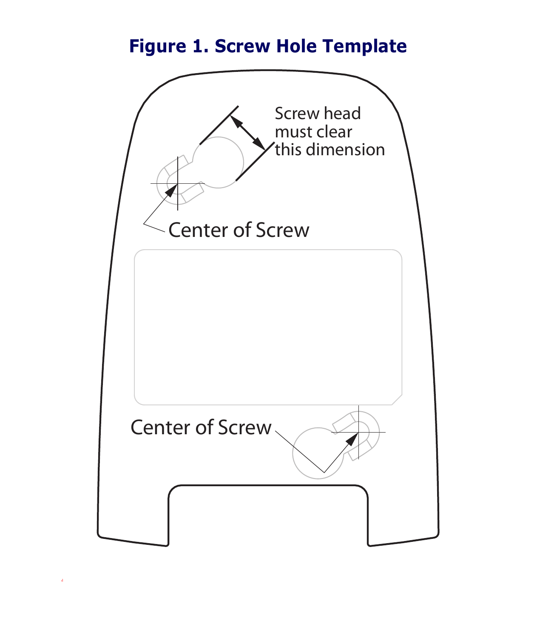### **Figure 1. Screw Hole Template**